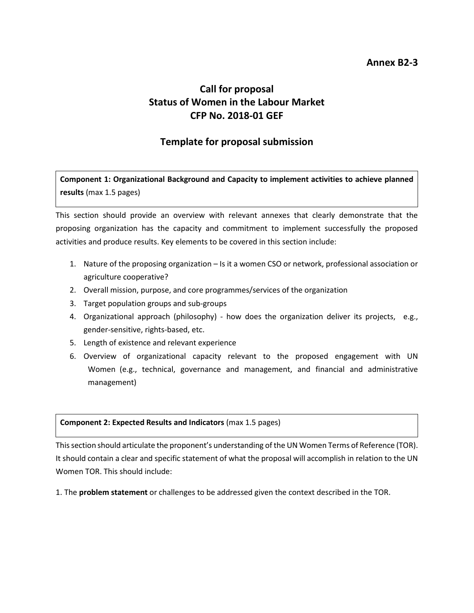### **Annex B2-3**

# **Call for proposal Status of Women in the Labour Market CFP No. 2018-01 GEF**

## **Template for proposal submission**

**Component 1: Organizational Background and Capacity to implement activities to achieve planned results** (max 1.5 pages)

This section should provide an overview with relevant annexes that clearly demonstrate that the proposing organization has the capacity and commitment to implement successfully the proposed activities and produce results. Key elements to be covered in this section include:

- 1. Nature of the proposing organization Is it a women CSO or network, professional association or agriculture cooperative?
- 2. Overall mission, purpose, and core programmes/services of the organization
- 3. Target population groups and sub-groups
- 4. Organizational approach (philosophy) how does the organization deliver its projects, e.g., gender-sensitive, rights-based, etc.
- 5. Length of existence and relevant experience
- 6. Overview of organizational capacity relevant to the proposed engagement with UN Women (e.g., technical, governance and management, and financial and administrative management)

#### **Component 2: Expected Results and Indicators** (max 1.5 pages)

This section should articulate the proponent's understanding of the UN Women Terms of Reference (TOR). It should contain a clear and specific statement of what the proposal will accomplish in relation to the UN Women TOR. This should include:

1. The **problem statement** or challenges to be addressed given the context described in the TOR.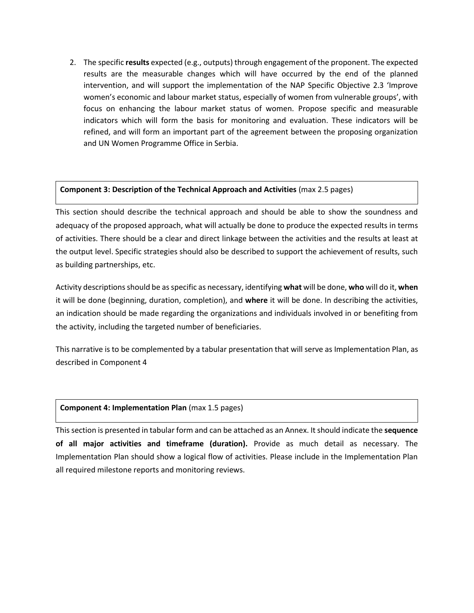2. The specific **results** expected (e.g., outputs) through engagement of the proponent. The expected results are the measurable changes which will have occurred by the end of the planned intervention, and will support the implementation of the NAP Specific Objective 2.3 'Improve women's economic and labour market status, especially of women from vulnerable groups', with focus on enhancing the labour market status of women. Propose specific and measurable indicators which will form the basis for monitoring and evaluation. These indicators will be refined, and will form an important part of the agreement between the proposing organization and UN Women Programme Office in Serbia.

#### **Component 3: Description of the Technical Approach and Activities** (max 2.5 pages)

This section should describe the technical approach and should be able to show the soundness and adequacy of the proposed approach, what will actually be done to produce the expected results in terms of activities. There should be a clear and direct linkage between the activities and the results at least at the output level. Specific strategies should also be described to support the achievement of results, such as building partnerships, etc.

Activity descriptions should be as specific as necessary, identifying **what** will be done, **who** will do it, **when**  it will be done (beginning, duration, completion), and **where** it will be done. In describing the activities, an indication should be made regarding the organizations and individuals involved in or benefiting from the activity, including the targeted number of beneficiaries.

This narrative is to be complemented by a tabular presentation that will serve as Implementation Plan, as described in Component 4

#### **Component 4: Implementation Plan** (max 1.5 pages)

This section is presented in tabular form and can be attached as an Annex. It should indicate the **sequence of all major activities and timeframe (duration).** Provide as much detail as necessary. The Implementation Plan should show a logical flow of activities. Please include in the Implementation Plan all required milestone reports and monitoring reviews.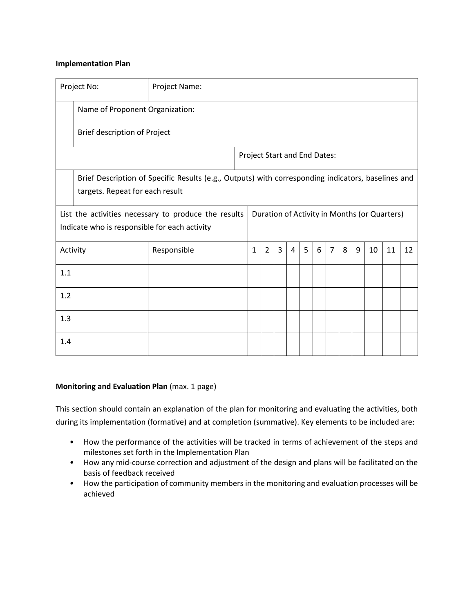#### **Implementation Plan**

| Project No:                                                                                                                                           |                                                                                                                                       | Project Name:                   |  |                              |                |   |   |   |   |                |   |   |    |    |    |
|-------------------------------------------------------------------------------------------------------------------------------------------------------|---------------------------------------------------------------------------------------------------------------------------------------|---------------------------------|--|------------------------------|----------------|---|---|---|---|----------------|---|---|----|----|----|
|                                                                                                                                                       |                                                                                                                                       | Name of Proponent Organization: |  |                              |                |   |   |   |   |                |   |   |    |    |    |
|                                                                                                                                                       | Brief description of Project                                                                                                          |                                 |  |                              |                |   |   |   |   |                |   |   |    |    |    |
|                                                                                                                                                       |                                                                                                                                       |                                 |  | Project Start and End Dates: |                |   |   |   |   |                |   |   |    |    |    |
|                                                                                                                                                       | Brief Description of Specific Results (e.g., Outputs) with corresponding indicators, baselines and<br>targets. Repeat for each result |                                 |  |                              |                |   |   |   |   |                |   |   |    |    |    |
| List the activities necessary to produce the results<br>Duration of Activity in Months (or Quarters)<br>Indicate who is responsible for each activity |                                                                                                                                       |                                 |  |                              |                |   |   |   |   |                |   |   |    |    |    |
| Activity                                                                                                                                              |                                                                                                                                       | Responsible                     |  | 1                            | $\overline{2}$ | 3 | 4 | 5 | 6 | $\overline{7}$ | 8 | 9 | 10 | 11 | 12 |
| 1.1                                                                                                                                                   |                                                                                                                                       |                                 |  |                              |                |   |   |   |   |                |   |   |    |    |    |
| 1.2                                                                                                                                                   |                                                                                                                                       |                                 |  |                              |                |   |   |   |   |                |   |   |    |    |    |
| 1.3                                                                                                                                                   |                                                                                                                                       |                                 |  |                              |                |   |   |   |   |                |   |   |    |    |    |
| 1.4                                                                                                                                                   |                                                                                                                                       |                                 |  |                              |                |   |   |   |   |                |   |   |    |    |    |

#### **Monitoring and Evaluation Plan** (max. 1 page)

This section should contain an explanation of the plan for monitoring and evaluating the activities, both during its implementation (formative) and at completion (summative). Key elements to be included are:

- How the performance of the activities will be tracked in terms of achievement of the steps and milestones set forth in the Implementation Plan
- How any mid-course correction and adjustment of the design and plans will be facilitated on the basis of feedback received
- How the participation of community members in the monitoring and evaluation processes will be achieved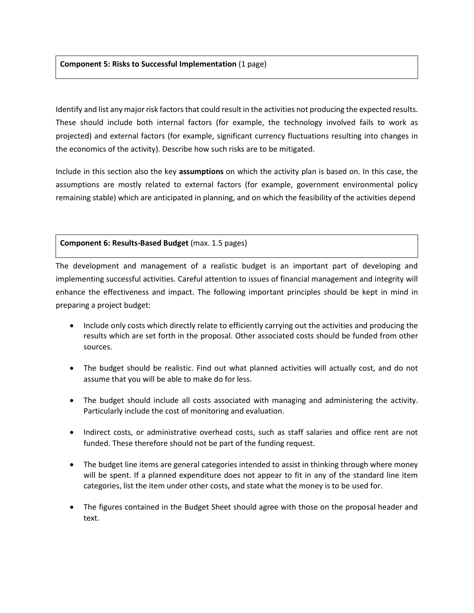#### **Component 5: Risks to Successful Implementation** (1 page)

Identify and list any major risk factors that could result in the activities not producing the expected results. These should include both internal factors (for example, the technology involved fails to work as projected) and external factors (for example, significant currency fluctuations resulting into changes in the economics of the activity). Describe how such risks are to be mitigated.

Include in this section also the key **assumptions** on which the activity plan is based on. In this case, the assumptions are mostly related to external factors (for example, government environmental policy remaining stable) which are anticipated in planning, and on which the feasibility of the activities depend

#### **Component 6: Results-Based Budget** (max. 1.5 pages)

The development and management of a realistic budget is an important part of developing and implementing successful activities. Careful attention to issues of financial management and integrity will enhance the effectiveness and impact. The following important principles should be kept in mind in preparing a project budget:

- Include only costs which directly relate to efficiently carrying out the activities and producing the results which are set forth in the proposal. Other associated costs should be funded from other sources.
- The budget should be realistic. Find out what planned activities will actually cost, and do not assume that you will be able to make do for less.
- The budget should include all costs associated with managing and administering the activity. Particularly include the cost of monitoring and evaluation.
- Indirect costs, or administrative overhead costs, such as staff salaries and office rent are not funded. These therefore should not be part of the funding request.
- The budget line items are general categories intended to assist in thinking through where money will be spent. If a planned expenditure does not appear to fit in any of the standard line item categories, list the item under other costs, and state what the money is to be used for.
- The figures contained in the Budget Sheet should agree with those on the proposal header and text.